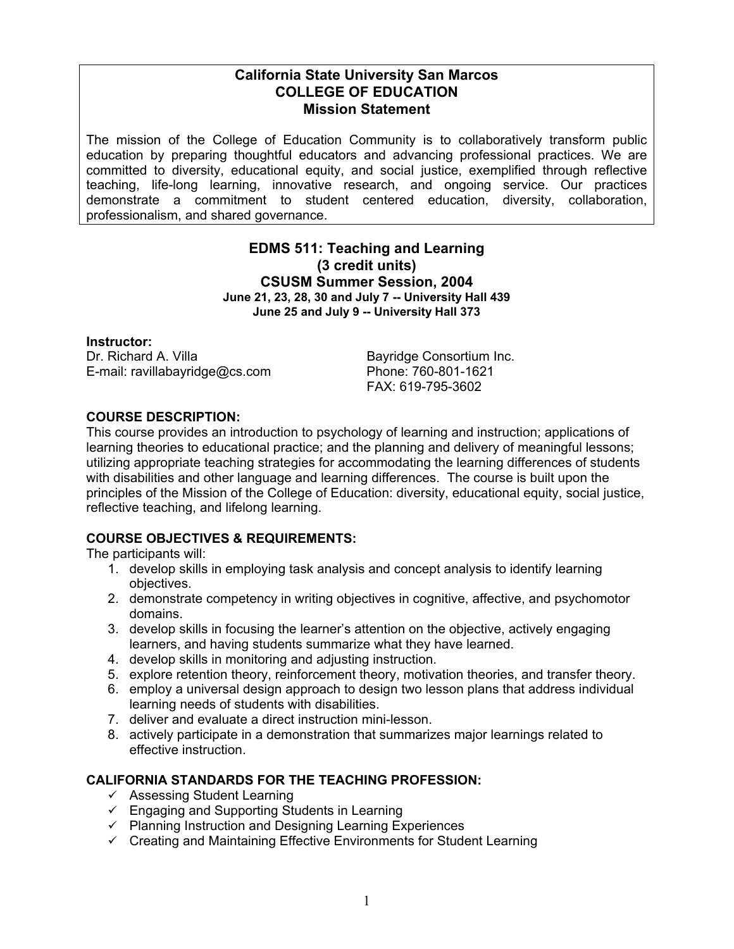# **California State University San Marcos COLLEGE OF EDUCATION Mission Statement**

The mission of the College of Education Community is to collaboratively transform public education by preparing thoughtful educators and advancing professional practices. We are committed to diversity, educational equity, and social justice, exemplified through reflective teaching, life-long learning, innovative research, and ongoing service. Our practices demonstrate a commitment to student centered education, diversity, collaboration, professionalism, and shared governance.

# **EDMS 511: Teaching and Learning (3 credit units) CSUSM Summer Session, 2004 June 21, 23, 28, 30 and July 7 -- University Hall 439 June 25 and July 9 -- University Hall 373**

#### **Instructor:**

Dr. Richard A. Villa Bayridge Consortium Inc. E-mail: ravillabayridge@cs.com Phone: 760-801-1621

FAX: 619-795-3602

### **COURSE DESCRIPTION:**

This course provides an introduction to psychology of learning and instruction; applications of learning theories to educational practice; and the planning and delivery of meaningful lessons; utilizing appropriate teaching strategies for accommodating the learning differences of students with disabilities and other language and learning differences. The course is built upon the principles of the Mission of the College of Education: diversity, educational equity, social justice, reflective teaching, and lifelong learning.

### **COURSE OBJECTIVES & REQUIREMENTS:**

The participants will:

- 1. develop skills in employing task analysis and concept analysis to identify learning objectives.
- 2. demonstrate competency in writing objectives in cognitive, affective, and psychomotor domains.
- 3. develop skills in focusing the learner's attention on the objective, actively engaging learners, and having students summarize what they have learned.
- 4. develop skills in monitoring and adjusting instruction.
- 5. explore retention theory, reinforcement theory, motivation theories, and transfer theory.
- 6. employ a universal design approach to design two lesson plans that address individual learning needs of students with disabilities.
- 7. deliver and evaluate a direct instruction mini-lesson.
- 8. actively participate in a demonstration that summarizes major learnings related to effective instruction.

### **CALIFORNIA STANDARDS FOR THE TEACHING PROFESSION:**

- $\checkmark$  Assessing Student Learning
- $\checkmark$  Engaging and Supporting Students in Learning
- $\checkmark$  Planning Instruction and Designing Learning Experiences
- $\checkmark$  Creating and Maintaining Effective Environments for Student Learning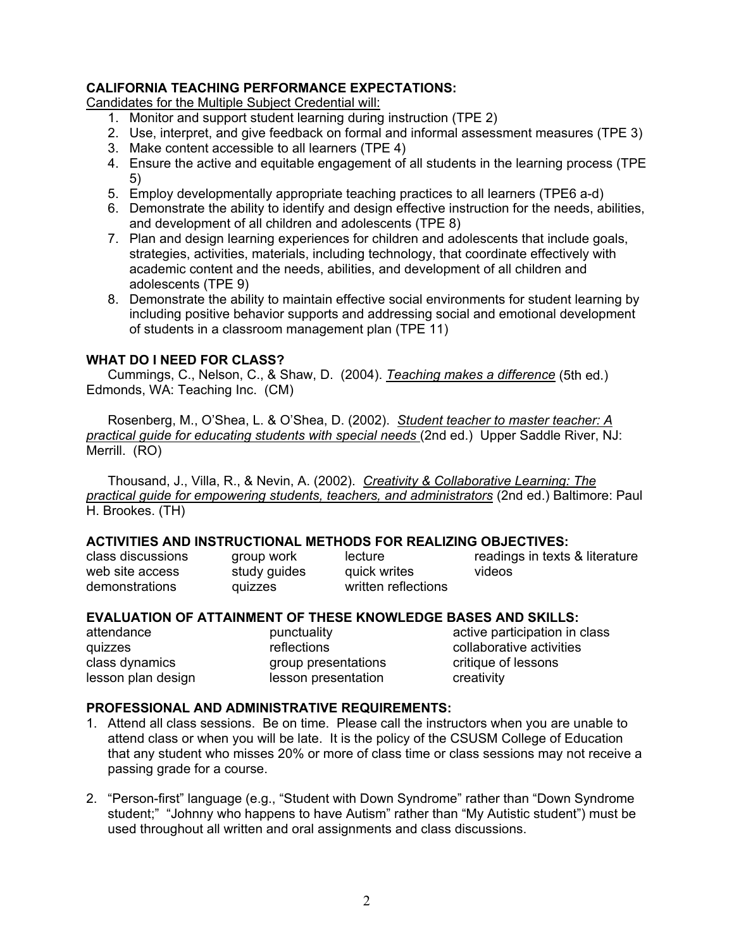### **CALIFORNIA TEACHING PERFORMANCE EXPECTATIONS:**

Candidates for the Multiple Subject Credential will:

- 1. Monitor and support student learning during instruction (TPE 2)
- 2. Use, interpret, and give feedback on formal and informal assessment measures (TPE 3)
- 3. Make content accessible to all learners (TPE 4)
- 4. Ensure the active and equitable engagement of all students in the learning process (TPE 5)
- 5. Employ developmentally appropriate teaching practices to all learners (TPE6 a-d)
- 6. Demonstrate the ability to identify and design effective instruction for the needs, abilities, and development of all children and adolescents (TPE 8)
- 7. Plan and design learning experiences for children and adolescents that include goals, strategies, activities, materials, including technology, that coordinate effectively with academic content and the needs, abilities, and development of all children and adolescents (TPE 9)
- 8. Demonstrate the ability to maintain effective social environments for student learning by including positive behavior supports and addressing social and emotional development of students in a classroom management plan (TPE 11)

### **WHAT DO I NEED FOR CLASS?**

 Cummings, C., Nelson, C., & Shaw, D. (2004). *Teaching makes a difference* (5th ed.) Edmonds, WA: Teaching Inc. (CM)

 Rosenberg, M., O'Shea, L. & O'Shea, D. (2002). *Student teacher to master teacher: A practical guide for educating students with special needs* (2nd ed.) Upper Saddle River, NJ: Merrill. (RO)

 Thousand, J., Villa, R., & Nevin, A. (2002). *Creativity & Collaborative Learning: The practical guide for empowering students, teachers, and administrators* (2nd ed.) Baltimore: Paul H. Brookes. (TH)

#### **ACTIVITIES AND INSTRUCTIONAL METHODS FOR REALIZING OBJECTIVES:**

| class discussions | group work   | lecture             | readings in texts & literature |
|-------------------|--------------|---------------------|--------------------------------|
| web site access   | study guides | quick writes        | videos                         |
| demonstrations    | quizzes      | written reflections |                                |

#### **EVALUATION OF ATTAINMENT OF THESE KNOWLEDGE BASES AND SKILLS:**

lesson plan design lesson presentation creativity

attendance punctuality active participation in class quizzes reflections collaborative activities class dynamics group presentations critique of lessons

### **PROFESSIONAL AND ADMINISTRATIVE REQUIREMENTS:**

- 1. Attend all class sessions. Be on time. Please call the instructors when you are unable to attend class or when you will be late. It is the policy of the CSUSM College of Education that any student who misses 20% or more of class time or class sessions may not receive a passing grade for a course.
- 2. "Person-first" language (e.g., "Student with Down Syndrome" rather than "Down Syndrome student;" "Johnny who happens to have Autism" rather than "My Autistic student") must be used throughout all written and oral assignments and class discussions.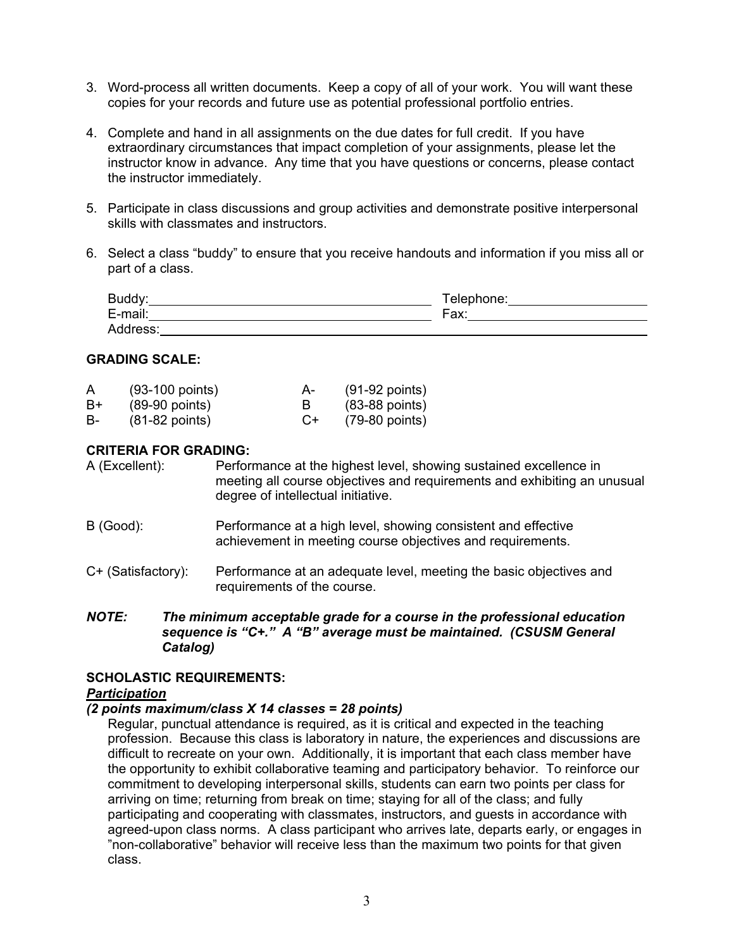- 3. Word-process all written documents. Keep a copy of all of your work. You will want these copies for your records and future use as potential professional portfolio entries.
- 4. Complete and hand in all assignments on the due dates for full credit. If you have extraordinary circumstances that impact completion of your assignments, please let the instructor know in advance. Any time that you have questions or concerns, please contact the instructor immediately.
- 5. Participate in class discussions and group activities and demonstrate positive interpersonal skills with classmates and instructors.
- 6. Select a class "buddy" to ensure that you receive handouts and information if you miss all or part of a class.

| <b>DIIMM</b><br>www.                            | hone:<br>ele. |
|-------------------------------------------------|---------------|
| $\cdots$<br>moil<br>— - г.<br>-шан.<br><u>_</u> | Fax:          |
| .<br>$\sim$                                     |               |

### **GRADING SCALE:**

| A  | $(93-100$ points) | $A -$  | $(91-92$ points) |
|----|-------------------|--------|------------------|
| B+ | $(89-90$ points)  |        | $(83-88$ points) |
| B- | $(81-82$ points)  | $( )+$ | $(79-80$ points) |

### **CRITERIA FOR GRADING:**

A (Excellent): Performance at the highest level, showing sustained excellence in meeting all course objectives and requirements and exhibiting an unusual degree of intellectual initiative.

- B (Good): Performance at a high level, showing consistent and effective achievement in meeting course objectives and requirements.
- C+ (Satisfactory): Performance at an adequate level, meeting the basic objectives and requirements of the course.
- *NOTE: The minimum acceptable grade for a course in the professional education sequence is "C+." A "B" average must be maintained. (CSUSM General Catalog)*

#### **SCHOLASTIC REQUIREMENTS:**

#### *Participation*

#### *(2 points maximum/class X 14 classes = 28 points)*

Regular, punctual attendance is required, as it is critical and expected in the teaching profession. Because this class is laboratory in nature, the experiences and discussions are difficult to recreate on your own. Additionally, it is important that each class member have the opportunity to exhibit collaborative teaming and participatory behavior. To reinforce our commitment to developing interpersonal skills, students can earn two points per class for arriving on time; returning from break on time; staying for all of the class; and fully participating and cooperating with classmates, instructors, and guests in accordance with agreed-upon class norms. A class participant who arrives late, departs early, or engages in "non-collaborative" behavior will receive less than the maximum two points for that given class.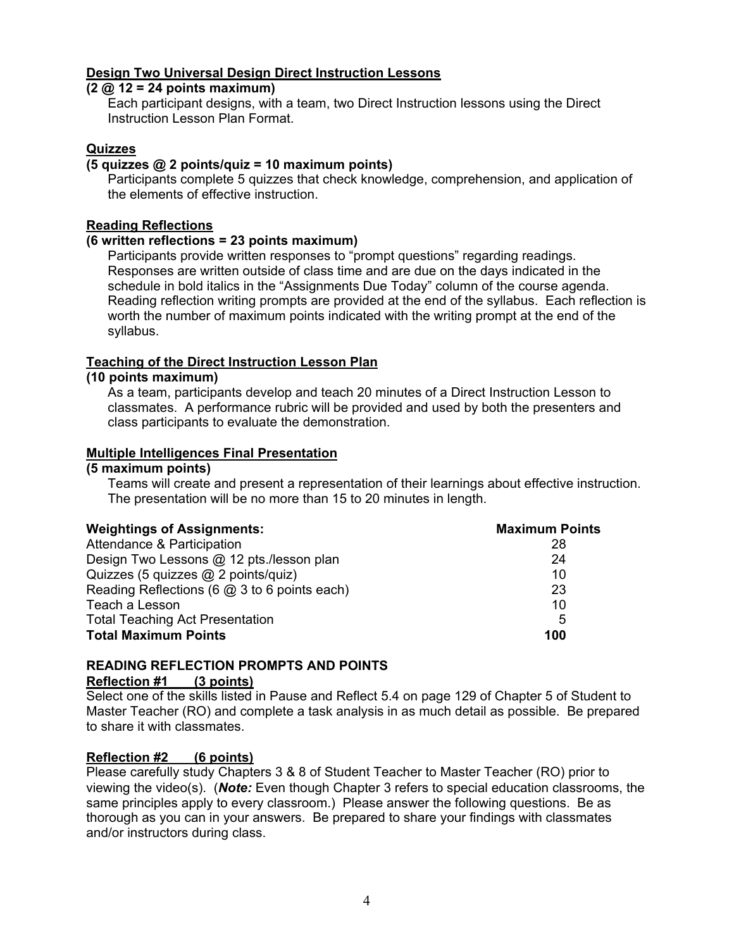# **Design Two Universal Design Direct Instruction Lessons**

#### **(2 @ 12 = 24 points maximum)**

Each participant designs, with a team, two Direct Instruction lessons using the Direct Instruction Lesson Plan Format.

### **Quizzes**

### **(5 quizzes @ 2 points/quiz = 10 maximum points)**

Participants complete 5 quizzes that check knowledge, comprehension, and application of the elements of effective instruction.

#### **Reading Reflections**

#### **(6 written reflections = 23 points maximum)**

Participants provide written responses to "prompt questions" regarding readings. Responses are written outside of class time and are due on the days indicated in the schedule in bold italics in the "Assignments Due Today" column of the course agenda. Reading reflection writing prompts are provided at the end of the syllabus. Each reflection is worth the number of maximum points indicated with the writing prompt at the end of the syllabus.

### **Teaching of the Direct Instruction Lesson Plan**

#### **(10 points maximum)**

As a team, participants develop and teach 20 minutes of a Direct Instruction Lesson to classmates. A performance rubric will be provided and used by both the presenters and class participants to evaluate the demonstration.

### **Multiple Intelligences Final Presentation**

#### **(5 maximum points)**

Teams will create and present a representation of their learnings about effective instruction. The presentation will be no more than 15 to 20 minutes in length.

| <b>Weightings of Assignments:</b>            | <b>Maximum Points</b> |
|----------------------------------------------|-----------------------|
| Attendance & Participation                   | 28                    |
| Design Two Lessons @ 12 pts./lesson plan     | 24                    |
| Quizzes (5 quizzes @ 2 points/quiz)          | 10                    |
| Reading Reflections (6 @ 3 to 6 points each) | 23                    |
| Teach a Lesson                               | 10                    |
| <b>Total Teaching Act Presentation</b>       | 5                     |
| <b>Total Maximum Points</b>                  | 100                   |

# **READING REFLECTION PROMPTS AND POINTS Reflection #1 (3 points)**

Select one of the skills listed in Pause and Reflect 5.4 on page 129 of Chapter 5 of Student to Master Teacher (RO) and complete a task analysis in as much detail as possible. Be prepared to share it with classmates.

### **Reflection #2 (6 points)**

Please carefully study Chapters 3 & 8 of Student Teacher to Master Teacher (RO) prior to viewing the video(s). (*Note:* Even though Chapter 3 refers to special education classrooms, the same principles apply to every classroom.) Please answer the following questions. Be as thorough as you can in your answers. Be prepared to share your findings with classmates and/or instructors during class.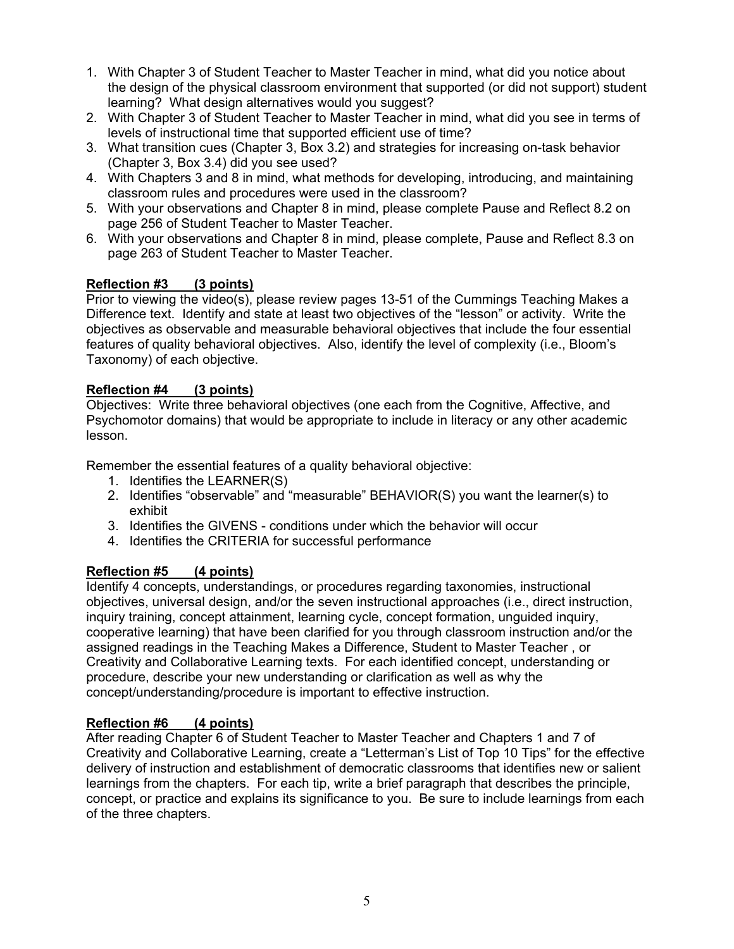- 1. With Chapter 3 of Student Teacher to Master Teacher in mind, what did you notice about the design of the physical classroom environment that supported (or did not support) student learning? What design alternatives would you suggest?
- 2. With Chapter 3 of Student Teacher to Master Teacher in mind, what did you see in terms of levels of instructional time that supported efficient use of time?
- 3. What transition cues (Chapter 3, Box 3.2) and strategies for increasing on-task behavior (Chapter 3, Box 3.4) did you see used?
- 4. With Chapters 3 and 8 in mind, what methods for developing, introducing, and maintaining classroom rules and procedures were used in the classroom?
- 5. With your observations and Chapter 8 in mind, please complete Pause and Reflect 8.2 on page 256 of Student Teacher to Master Teacher.
- 6. With your observations and Chapter 8 in mind, please complete, Pause and Reflect 8.3 on page 263 of Student Teacher to Master Teacher.

# **Reflection #3 (3 points)**

Prior to viewing the video(s), please review pages 13-51 of the Cummings Teaching Makes a Difference text. Identify and state at least two objectives of the "lesson" or activity. Write the objectives as observable and measurable behavioral objectives that include the four essential features of quality behavioral objectives. Also, identify the level of complexity (i.e., Bloom's Taxonomy) of each objective.

### **Reflection #4 (3 points)**

Objectives: Write three behavioral objectives (one each from the Cognitive, Affective, and Psychomotor domains) that would be appropriate to include in literacy or any other academic lesson.

Remember the essential features of a quality behavioral objective:

- 1. Identifies the LEARNER(S)
- 2. Identifies "observable" and "measurable" BEHAVIOR(S) you want the learner(s) to exhibit
- 3. Identifies the GIVENS conditions under which the behavior will occur
- 4. Identifies the CRITERIA for successful performance

### **Reflection #5 (4 points)**

Identify 4 concepts, understandings, or procedures regarding taxonomies, instructional objectives, universal design, and/or the seven instructional approaches (i.e., direct instruction, inquiry training, concept attainment, learning cycle, concept formation, unguided inquiry, cooperative learning) that have been clarified for you through classroom instruction and/or the assigned readings in the Teaching Makes a Difference, Student to Master Teacher , or Creativity and Collaborative Learning texts. For each identified concept, understanding or procedure, describe your new understanding or clarification as well as why the concept/understanding/procedure is important to effective instruction.

### **Reflection #6 (4 points)**

After reading Chapter 6 of Student Teacher to Master Teacher and Chapters 1 and 7 of Creativity and Collaborative Learning, create a "Letterman's List of Top 10 Tips" for the effective delivery of instruction and establishment of democratic classrooms that identifies new or salient learnings from the chapters. For each tip, write a brief paragraph that describes the principle, concept, or practice and explains its significance to you. Be sure to include learnings from each of the three chapters.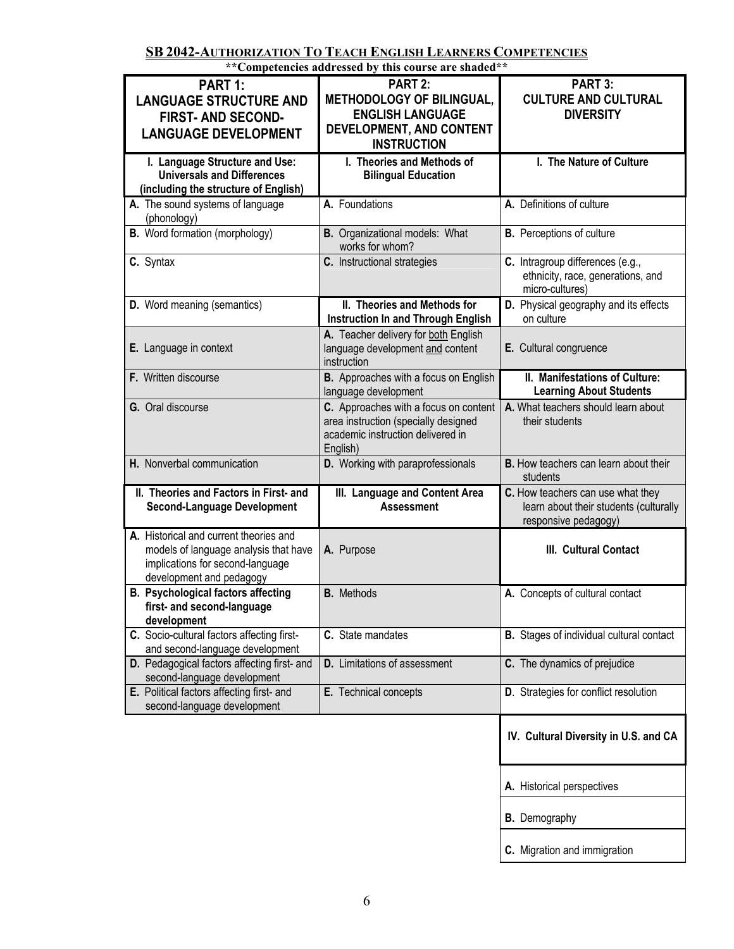**SB 2042-AUTHORIZATION TO TEACH ENGLISH LEARNERS COMPETENCIES**

| **Competencies addressed by this course are shaded**                                                                                            |                                                                                                                                |                                                                                                     |  |
|-------------------------------------------------------------------------------------------------------------------------------------------------|--------------------------------------------------------------------------------------------------------------------------------|-----------------------------------------------------------------------------------------------------|--|
| PART 1:<br><b>LANGUAGE STRUCTURE AND</b><br><b>FIRST- AND SECOND-</b><br><b>LANGUAGE DEVELOPMENT</b>                                            | PART 2:<br><b>METHODOLOGY OF BILINGUAL,</b><br><b>ENGLISH LANGUAGE</b><br>DEVELOPMENT, AND CONTENT<br><b>INSTRUCTION</b>       | PART 3:<br><b>CULTURE AND CULTURAL</b><br><b>DIVERSITY</b>                                          |  |
| I. Language Structure and Use:<br><b>Universals and Differences</b><br>(including the structure of English)                                     | I. Theories and Methods of<br><b>Bilingual Education</b>                                                                       | I. The Nature of Culture                                                                            |  |
| A. The sound systems of language<br>(phonology)                                                                                                 | A. Foundations                                                                                                                 | A. Definitions of culture                                                                           |  |
| <b>B.</b> Word formation (morphology)                                                                                                           | <b>B.</b> Organizational models: What<br>works for whom?                                                                       | <b>B.</b> Perceptions of culture                                                                    |  |
| C. Syntax                                                                                                                                       | C. Instructional strategies                                                                                                    | C. Intragroup differences (e.g.,<br>ethnicity, race, generations, and<br>micro-cultures)            |  |
| <b>D.</b> Word meaning (semantics)                                                                                                              | II. Theories and Methods for<br>Instruction In and Through English                                                             | D. Physical geography and its effects<br>on culture                                                 |  |
| E. Language in context                                                                                                                          | A. Teacher delivery for both English<br>language development and content<br>instruction                                        | E. Cultural congruence                                                                              |  |
| F. Written discourse                                                                                                                            | B. Approaches with a focus on English<br>language development                                                                  | II. Manifestations of Culture:<br><b>Learning About Students</b>                                    |  |
| G. Oral discourse                                                                                                                               | C. Approaches with a focus on content<br>area instruction (specially designed<br>academic instruction delivered in<br>English) | A. What teachers should learn about<br>their students                                               |  |
| H. Nonverbal communication                                                                                                                      | D. Working with paraprofessionals                                                                                              | <b>B.</b> How teachers can learn about their<br>students                                            |  |
| II. Theories and Factors in First- and<br><b>Second-Language Development</b>                                                                    | III. Language and Content Area<br><b>Assessment</b>                                                                            | C. How teachers can use what they<br>learn about their students (culturally<br>responsive pedagogy) |  |
| A. Historical and current theories and<br>models of language analysis that have<br>implications for second-language<br>development and pedagogy | A. Purpose                                                                                                                     | III. Cultural Contact                                                                               |  |
| <b>B. Psychological factors affecting</b><br>first- and second-language<br>development                                                          | <b>B.</b> Methods                                                                                                              | A. Concepts of cultural contact                                                                     |  |
| C. Socio-cultural factors affecting first-<br>and second-language development                                                                   | C. State mandates                                                                                                              | <b>B.</b> Stages of individual cultural contact                                                     |  |
| D. Pedagogical factors affecting first- and<br>second-language development                                                                      | <b>D.</b> Limitations of assessment                                                                                            | C. The dynamics of prejudice                                                                        |  |
| E. Political factors affecting first- and<br>second-language development                                                                        | E. Technical concepts                                                                                                          | D. Strategies for conflict resolution                                                               |  |
|                                                                                                                                                 |                                                                                                                                | IV. Cultural Diversity in U.S. and CA                                                               |  |
|                                                                                                                                                 |                                                                                                                                | A. Historical perspectives                                                                          |  |

**B.** Demography

**C.** Migration and immigration